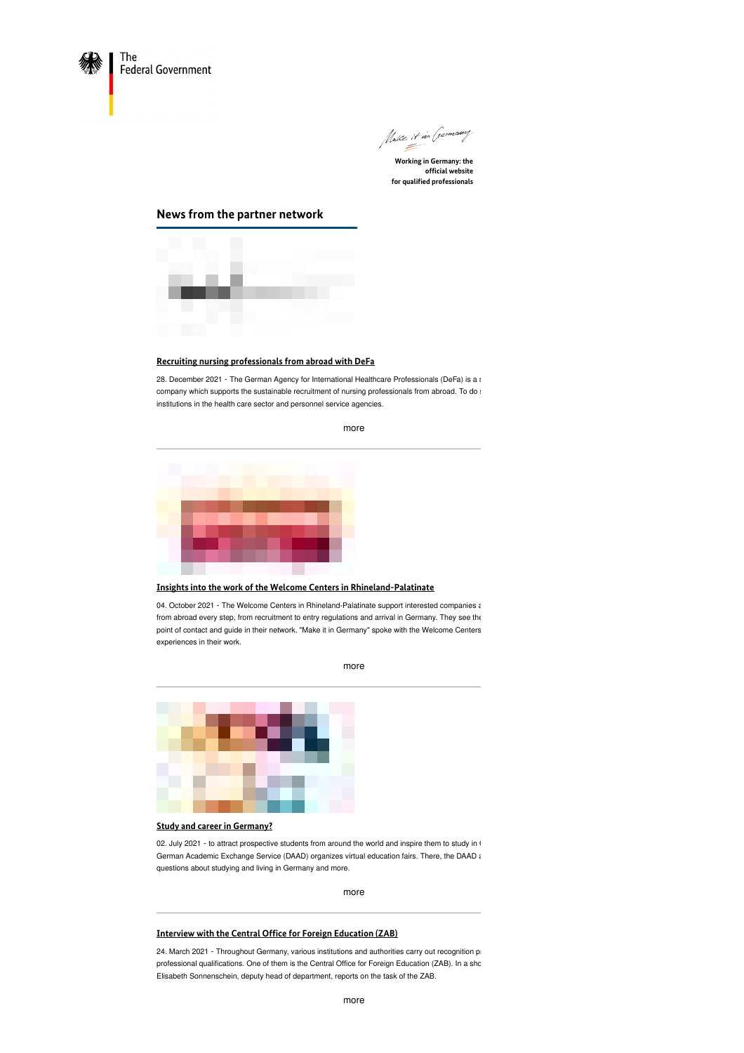



**Working in Germany: the official website for qualified professionals**

# **News from the partner network**



# **Recruiting nursing [professionals](https://www.make-it-in-germany.com/en/recruiting-nursing-professionals-from-abroad-with-defa) from abroad with DeFa**

28. December 2021 - The German Agency for International Healthcare Professionals (DeFa) is a statecompany which supports the sustainable recruitment of nursing professionals from abroad. To do s institutions in the health care sector and personnel service agencies.



### **Insights into the work of the Welcome Centers in [Rhineland-Palatinate](https://www.make-it-in-germany.com/en/insights-into-the-work-of-the-welcome-centers-in-rhineland-palatinate)**

04. October 2021 - The Welcome Centers in Rhineland-Palatinate support interested companies and skilled worker from abroad every step, from recruitment to entry regulations and arrival in Germany. They see the point of contact and guide in their network. "Make it in Germany" spoke with the Welcome Centers experiences in their work.

[more](https://www.make-it-in-germany.com/en/insights-into-the-work-of-the-welcome-centers-in-rhineland-palatinate)



## **Study and career in [Germany?](https://www.make-it-in-germany.com/en/study-and-career-in-germany)**

02. July 2021 - to attract prospective students from around the world and inspire them to study in G German Academic Exchange Service (DAAD) organizes virtual education fairs. There, the DAAD answers questions about studying and living in Germany and more.

[more](https://www.make-it-in-germany.com/en/study-and-career-in-germany)

#### **Interview with the Central Office for Foreign [Education](https://www.make-it-in-germany.com/en/interview-with-the-central-office-for-foreign-education-zab) (ZAB)**

24. March 2021 - Throughout Germany, various institutions and authorities carry out recognition pro professional qualifications. One of them is the Central Office for Foreign Education (ZAB). In a sho Elisabeth Sonnenschein, deputy head of department, reports on the task of the ZAB.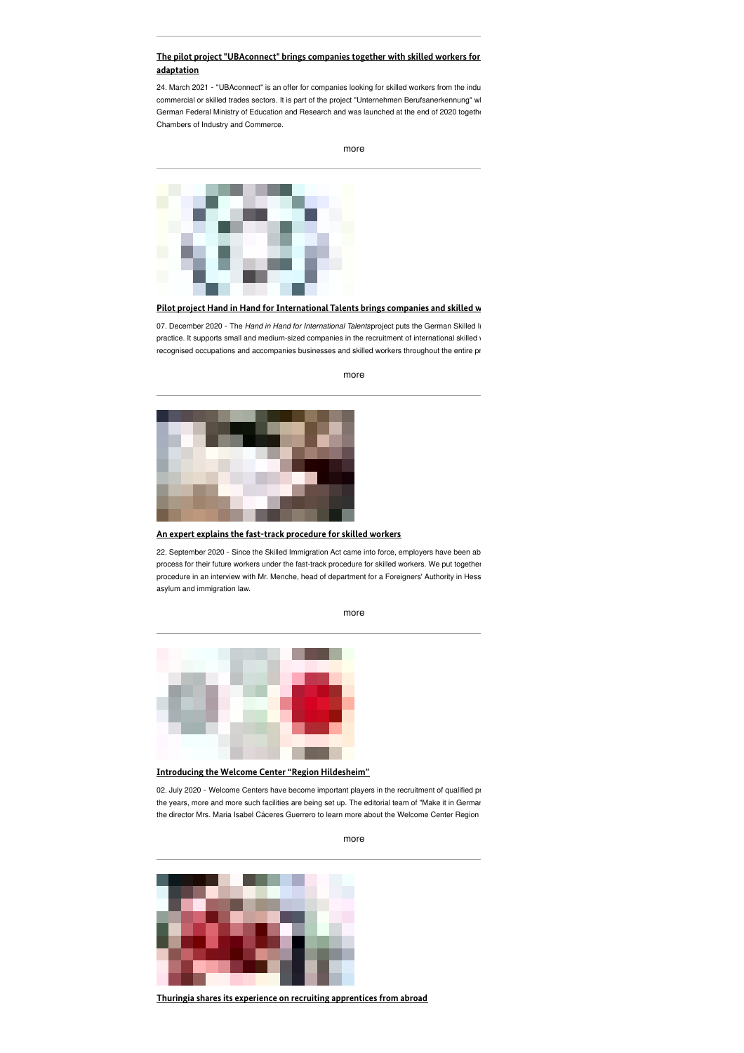## **The pilot project ["UBAconnect"](https://www.make-it-in-germany.com/en/the-pilot-project-ubaconnect-brings-companies-together-with-skilled-workers-for-qualification-adaptation) brings companies together with skilled workers for qualication adaptation**

24. March 2021 - "UBAconnect" is an offer for companies looking for skilled workers from the indu commercial or skilled trades sectors. It is part of the project "Unternehmen Berufsanerkennung" wl German Federal Ministry of Education and Research and was launched at the end of 2020 together Chambers of Industry and Commerce.

[more](https://www.make-it-in-germany.com/en/the-pilot-project-ubaconnect-brings-companies-together-with-skilled-workers-for-qualification-adaptation)



# **Pilot project Hand in Hand for [International](https://www.make-it-in-germany.com/en/pilot-project-hand-in-hand-for-international-talents-brings-companies-and-skilled-workers-together) Talents brings companies and skilled workers together**

07. December 2020 - The *Hand in Hand for International Talentsproject puts the German Skilled In* practice. It supports small and medium-sized companies in the recruitment of international skilled v recognised occupations and accompanies businesses and skilled workers throughout the entire pr



[more](https://www.make-it-in-germany.com/en/pilot-project-hand-in-hand-for-international-talents-brings-companies-and-skilled-workers-together)

#### **An expert explains the fast-track [procedure](https://www.make-it-in-germany.com/en/an-expert-explains-the-fast-track-procedure-for-skilled-workers) for skilled workers**

22. September 2020 - Since the Skilled Immigration Act came into force, employers have been ab process for their future workers under the fast-track procedure for skilled workers. We put together procedure in an interview with Mr. Menche, head of department for a Foreigners' Authority in Hess asylum and immigration law.

[more](https://www.make-it-in-germany.com/en/an-expert-explains-the-fast-track-procedure-for-skilled-workers)



**Introducing the Welcome Center "Region [Hildesheim"](https://www.make-it-in-germany.com/en/introducing-the-welcome-center-region-hildesheim)**

02. July 2020 - Welcome Centers have become important players in the recruitment of qualified pro the years, more and more such facilities are being set up. The editorial team of "Make it in Germar the director Mrs. Maria Isabel Cáceres Guerrero to learn more about the Welcome Center Region

**Thuringia shares its experience on recruiting [apprentices](https://www.make-it-in-germany.com/en/thuringia-shares-its-experience-on-recruiting-apprentices-from-abroad) from abroad**

[more](https://www.make-it-in-germany.com/en/introducing-the-welcome-center-region-hildesheim)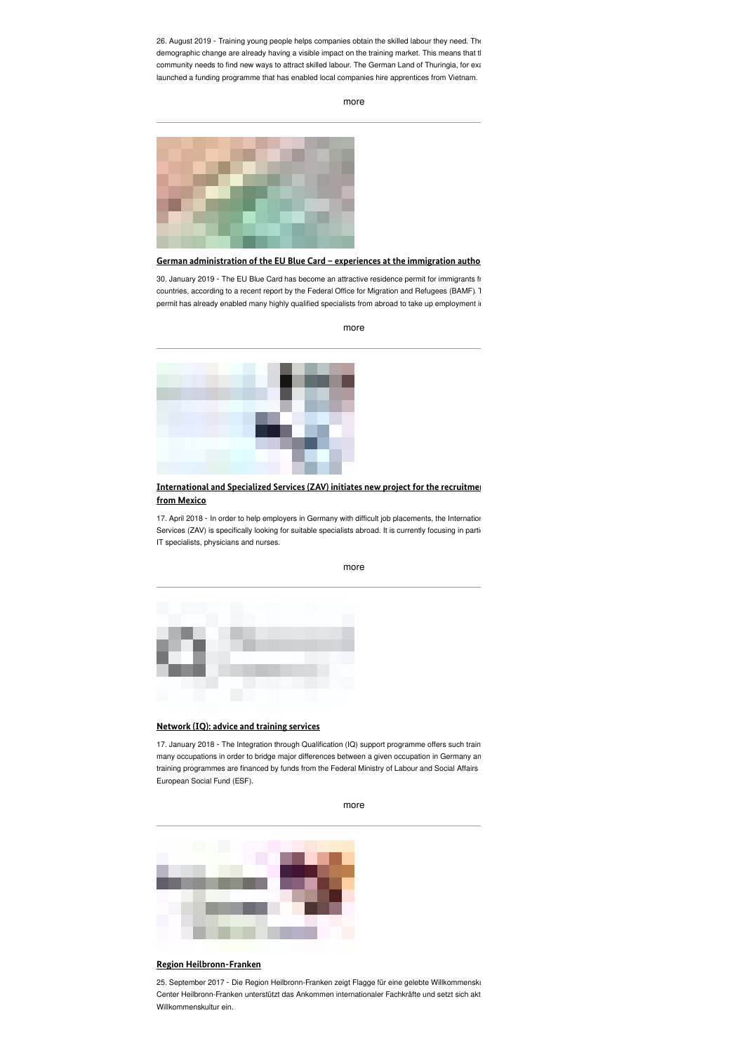26. August 2019 - Training young people helps companies obtain the skilled labour they need. The demographic change are already having a visible impact on the training market. This means that the community needs to find new ways to attract skilled labour. The German Land of Thuringia, for example, launched a funding programme that has enabled local companies hire apprentices from Vietnam.

[more](https://www.make-it-in-germany.com/en/thuringia-shares-its-experience-on-recruiting-apprentices-from-abroad)



### **German [administration](https://www.make-it-in-germany.com/en/german-administration-of-the-eu-blue-card-experiences-at-the-immigration-authority-in-munich) of the EU Blue Card – experiences at the immigration authority in Munich**

30. January 2019 - The EU Blue Card has become an attractive residence permit for immigrants fr countries, according to a recent report by the Federal Office for Migration and Refugees (BAMF). This permit has already enabled many highly qualified specialists from abroad to take up employment in

[more](https://www.make-it-in-germany.com/en/german-administration-of-the-eu-blue-card-experiences-at-the-immigration-authority-in-munich)



### **[International](https://www.make-it-in-germany.com/en/international-and-specialized-services-zav-initiates-new-project-for-the-recruitment-of-doctors-from-mexico) and Specialized Services (ZAV) initiates new project for the recruitment from Mexico**

17. April 2018 - In order to help employers in Germany with difficult job placements, the Internatior Services (ZAV) is specifically looking for suitable specialists abroad. It is currently focusing in particular IT specialists, physicians and nurses.



#### **[Network](https://www.make-it-in-germany.com/en/network-iq-advice-and-training-services) (IQ): advice and training services**

17. January 2018 - The Integration through Qualification (IQ) support programme offers such train many occupations in order to bridge major differences between a given occupation in Germany an training programmes are financed by funds from the Federal Ministry of Labour and Social Affairs European Social Fund (ESF).

[more](https://www.make-it-in-germany.com/en/network-iq-advice-and-training-services)



### **Region [Heilbronn-Franken](https://www.make-it-in-germany.com/en/region-heilbronn-franken)**

25. September 2017 - Die Region Heilbronn-Franken zeigt Flagge für eine gelebte Willkommensku Center Heilbronn-Franken unterstützt das Ankommen internationaler Fachkräfte und setzt sich akt Willkommenskultur ein.

#### [more](https://www.make-it-in-germany.com/en/international-and-specialized-services-zav-initiates-new-project-for-the-recruitment-of-doctors-from-mexico)